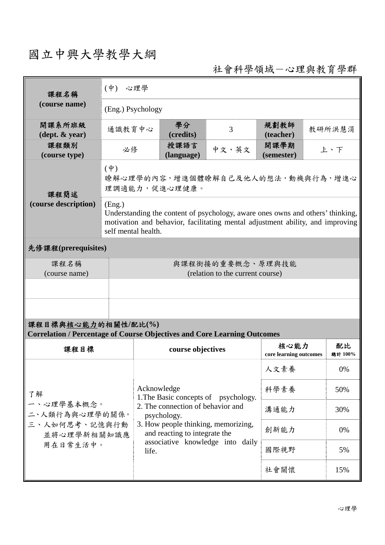# 國立中興大學教學大綱

社會科學領域-心理與教育學群

| 課程名稱                                                                                                   | $(\phi)$<br>心理學                                                                                                                                                                                   |                                                                                                                                                                                                                              |                    |       |                                |    |               |  |
|--------------------------------------------------------------------------------------------------------|---------------------------------------------------------------------------------------------------------------------------------------------------------------------------------------------------|------------------------------------------------------------------------------------------------------------------------------------------------------------------------------------------------------------------------------|--------------------|-------|--------------------------------|----|---------------|--|
| (course name)                                                                                          | (Eng.) Psychology                                                                                                                                                                                 |                                                                                                                                                                                                                              |                    |       |                                |    |               |  |
| 開課系所班級<br>$(\text{dept.} \& \text{ year})$                                                             | 通識教育中心                                                                                                                                                                                            |                                                                                                                                                                                                                              | 學分<br>(credits)    | 3     | 規劃教師<br>(teacher)              |    | 教研所洪慧涓        |  |
| 課程類別<br>(course type)                                                                                  | 必修                                                                                                                                                                                                |                                                                                                                                                                                                                              | 授課語言<br>(language) | 中文、英文 | 開課學期<br>上、下<br>(semester)      |    |               |  |
| 課程簡述                                                                                                   | $(\phi)$<br>瞭解心理學的內容,增進個體瞭解自己及他人的想法,動機與行為,增進心<br>理調適能力,促進心理健康。                                                                                                                                    |                                                                                                                                                                                                                              |                    |       |                                |    |               |  |
| (course description)                                                                                   | (Eng.)<br>Understanding the content of psychology, aware ones owns and others' thinking,<br>motivation and behavior, facilitating mental adjustment ability, and improving<br>self mental health. |                                                                                                                                                                                                                              |                    |       |                                |    |               |  |
| 先修課程(prerequisites)                                                                                    |                                                                                                                                                                                                   |                                                                                                                                                                                                                              |                    |       |                                |    |               |  |
| 課程名稱<br>(course name)                                                                                  | 與課程銜接的重要概念、原理與技能<br>(relation to the current course)                                                                                                                                              |                                                                                                                                                                                                                              |                    |       |                                |    |               |  |
|                                                                                                        |                                                                                                                                                                                                   |                                                                                                                                                                                                                              |                    |       |                                |    |               |  |
|                                                                                                        |                                                                                                                                                                                                   |                                                                                                                                                                                                                              |                    |       |                                |    |               |  |
| 課程目標與核心能力的相關性/配比(%)<br><b>Correlation / Percentage of Course Objectives and Core Learning Outcomes</b> |                                                                                                                                                                                                   |                                                                                                                                                                                                                              |                    |       |                                |    |               |  |
| 課程目標                                                                                                   |                                                                                                                                                                                                   |                                                                                                                                                                                                                              | course objectives  |       | 核心能力<br>core learning outcomes |    | 配比<br>總計 100% |  |
| 了解<br>一、心理學基本概念。<br>二、人類行為與心理學的關係。<br>三、人如何思考、記憶與行動<br>並將心理學新相關知識應<br>用在日常生活中。                         |                                                                                                                                                                                                   |                                                                                                                                                                                                                              |                    | 人文素養  |                                | 0% |               |  |
|                                                                                                        |                                                                                                                                                                                                   | Acknowledge<br>1. The Basic concepts of psychology.<br>2. The connection of behavior and<br>psychology.<br>3. How people thinking, memorizing,<br>and reacting to integrate the<br>associative knowledge into daily<br>life. |                    |       | 科學素養                           |    | 50%           |  |
|                                                                                                        |                                                                                                                                                                                                   |                                                                                                                                                                                                                              |                    |       | 溝通能力                           |    | 30%           |  |
|                                                                                                        |                                                                                                                                                                                                   |                                                                                                                                                                                                                              |                    |       | 創新能力                           |    | 0%            |  |
|                                                                                                        |                                                                                                                                                                                                   |                                                                                                                                                                                                                              |                    |       | 國際視野                           |    | 5%            |  |
|                                                                                                        |                                                                                                                                                                                                   |                                                                                                                                                                                                                              |                    |       | 社會關懷                           |    | 15%           |  |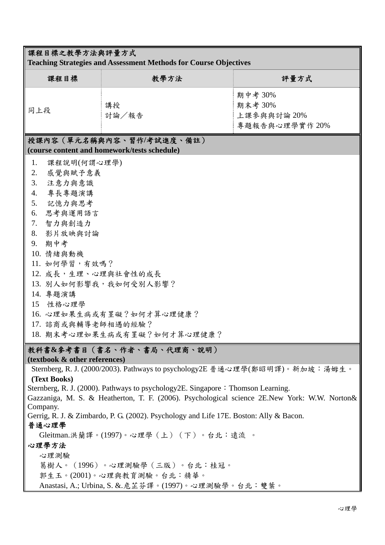| 課程目標之教學方法與評量方式                                                                                                                                                                                                                                 |                                                                                                                                                                                                                                                                                                                                                                                                                                                                                                                              |                                                     |  |  |  |  |  |
|------------------------------------------------------------------------------------------------------------------------------------------------------------------------------------------------------------------------------------------------|------------------------------------------------------------------------------------------------------------------------------------------------------------------------------------------------------------------------------------------------------------------------------------------------------------------------------------------------------------------------------------------------------------------------------------------------------------------------------------------------------------------------------|-----------------------------------------------------|--|--|--|--|--|
| <b>Teaching Strategies and Assessment Methods for Course Objectives</b>                                                                                                                                                                        |                                                                                                                                                                                                                                                                                                                                                                                                                                                                                                                              |                                                     |  |  |  |  |  |
| 課程目標                                                                                                                                                                                                                                           | 教學方法                                                                                                                                                                                                                                                                                                                                                                                                                                                                                                                         | 評量方式                                                |  |  |  |  |  |
| 同上段                                                                                                                                                                                                                                            | 講授<br>討論/報告                                                                                                                                                                                                                                                                                                                                                                                                                                                                                                                  | 期中考 30%<br>期末考 30%<br>上課參與與討論 20%<br>專題報告與心理學實作 20% |  |  |  |  |  |
| 授課內容 (單元名稱與內容、習作/考試進度、備註)<br>(course content and homework/tests schedule)                                                                                                                                                                      |                                                                                                                                                                                                                                                                                                                                                                                                                                                                                                                              |                                                     |  |  |  |  |  |
| 1.<br>課程說明(何謂心理學)<br>感覺與賦予意義<br>2.<br>3.<br>注意力與意識<br>專長專題演講<br>4.<br>記憶力與思考<br>5.<br>思考與運用語言<br>6.<br>7.<br>智力與創造力<br>8. 影片放映與討論<br>9. 期中考<br>10. 情緒與動機<br>11. 如何學習,有效嗎?<br>12. 成長,生理、心理與社會性的成長<br>14. 專題演講<br>15 性格心理學<br>17. 諮商或與輔導老師相遇的經驗? | 13. 別人如何影響我,我如何受別人影響?<br>16. 心理如果生病或有罣礙?如何才算心理健康?<br>18. 期末考心理如果生病或有罣礙?如何才算心理健康?                                                                                                                                                                                                                                                                                                                                                                                                                                             |                                                     |  |  |  |  |  |
| 教科書&參考書目(書名、作者、書局、代理商、說明)<br>(textbook & other references)                                                                                                                                                                                     |                                                                                                                                                                                                                                                                                                                                                                                                                                                                                                                              |                                                     |  |  |  |  |  |
| (Text Books)<br>Company.<br>普通心理學<br>心理學方法<br>心理測驗                                                                                                                                                                                             | Sternberg, R. J. (2000/2003). Pathways to psychology2E 普通心理學(鄭昭明譯)。新加坡:湯姆生。<br>Sternberg, R. J. (2000). Pathways to psychology2E. Singapore: Thomson Learning.<br>Gazzaniga, M. S. & Heatherton, T. F. (2006). Psychological science 2E.New York: W.W. Norton&<br>Gerrig, R. J. & Zimbardo, P. G. (2002). Psychology and Life 17E. Boston: Ally & Bacon.<br>Gleitman.洪蘭譯。(1997)。心理學 (上) (下)。台北:遠流 。<br>葛樹人。 (1996) 。心理測驗學 (三版) 。台北:桂冠。<br>郭生玉。(2001)。心理與教育測驗。台北:精華。<br>Anastasi, A.; Urbina, S. &. 危芷芬譯。(1997)。心理測驗學。台北: 雙葉。 |                                                     |  |  |  |  |  |